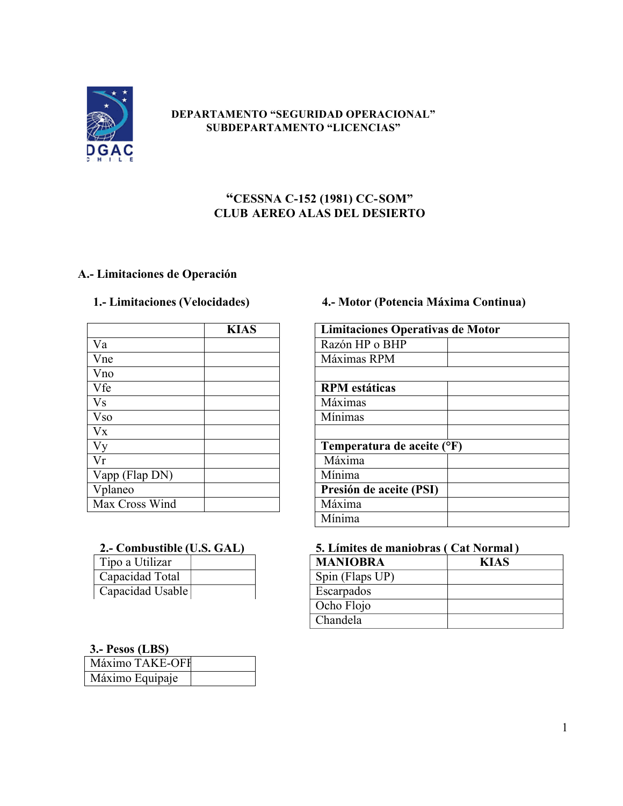

### **DEPARTAMENTO "SEGURIDAD OPERACIONAL" SUBDEPARTAMENTO "LICENCIAS"**

## **"CESSNA C-152 (1981) CC-SOM" CLUB AEREO ALAS DEL DESIERTO**

## **A.- Limitaciones de Operación**

|                 | <b>KIAS</b> | Limitaciones Operativas de |
|-----------------|-------------|----------------------------|
| Va              |             | Razón HP o BHP             |
| Vne             |             | Máximas RPM                |
| Vno             |             |                            |
| Vfe             |             | <b>RPM</b> estáticas       |
| <b>Vs</b>       |             | Máximas                    |
| V <sub>so</sub> |             | Mínimas                    |
| Vx              |             |                            |
| Vy              |             | Temperatura de aceite (°F) |
| Vr              |             | Máxima                     |
| Vapp (Flap DN)  |             | Mínima                     |
| Vplaneo         |             | Presión de aceite (PSI)    |
| Max Cross Wind  |             | Máxima                     |

| Tipo a Utilizar  |  |
|------------------|--|
| Capacidad Total  |  |
| Capacidad Usable |  |

## **1.- Limitaciones (Velocidades) 4.- Motor (Potencia Máxima Continua)**

| <b>KIAS</b> | Limitaciones Operativas de Motor |  |
|-------------|----------------------------------|--|
|             | Razón HP o BHP                   |  |
|             | Máximas RPM                      |  |
|             | <b>RPM</b> estáticas             |  |
|             | Máximas                          |  |
|             | <b>Mínimas</b>                   |  |
|             | Temperatura de aceite (°F)       |  |
|             | Máxima                           |  |
|             | Mínima                           |  |
|             | Presión de aceite (PSI)          |  |
|             | Máxima                           |  |
|             | Mínima                           |  |

# **2.- Combustible (U.S. GAL) 5. Límites de maniobras ( Cat Normal )**

| <b>MANIOBRA</b> | <b>KIAS</b> |
|-----------------|-------------|
| Spin (Flaps UP) |             |
| Escarpados      |             |
| Ocho Flojo      |             |
| Chandela        |             |

### **3.- Pesos (LBS)**

| $\bullet \bullet \bullet \bullet \bullet \bullet \bullet \bullet \bullet \bullet$ |  |
|-----------------------------------------------------------------------------------|--|
| Máximo TAKE-OFF                                                                   |  |
| Máximo Equipaje                                                                   |  |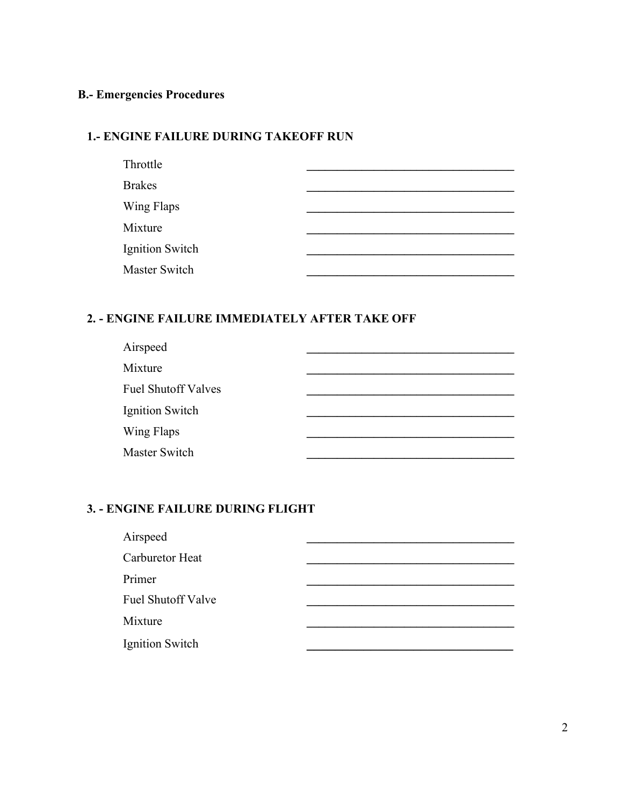## **B.- Emergencies Procedures**

## **1.- ENGINE FAILURE DURING TAKEOFF RUN**

| Throttle               |  |
|------------------------|--|
| <b>Brakes</b>          |  |
| Wing Flaps             |  |
| Mixture                |  |
| <b>Ignition Switch</b> |  |
| Master Switch          |  |
|                        |  |

### **2. - ENGINE FAILURE IMMEDIATELY AFTER TAKE OFF**

| Airspeed                   |  |
|----------------------------|--|
| Mixture                    |  |
| <b>Fuel Shutoff Valves</b> |  |
| Ignition Switch            |  |
| Wing Flaps                 |  |
| Master Switch              |  |

### **3. - ENGINE FAILURE DURING FLIGHT**

| Airspeed                  |  |
|---------------------------|--|
| Carburetor Heat           |  |
| Primer                    |  |
| <b>Fuel Shutoff Valve</b> |  |
| Mixture                   |  |
| Ignition Switch           |  |
|                           |  |